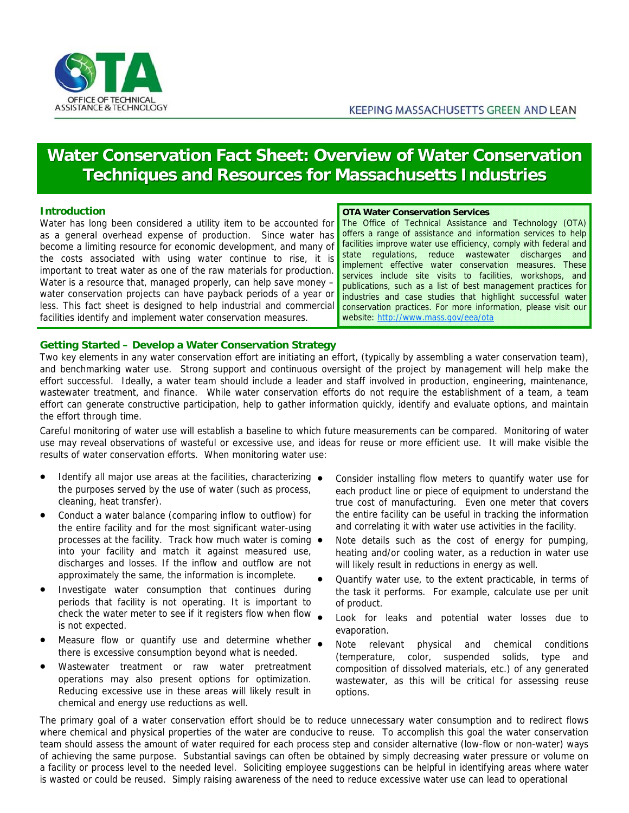

# **Water Conservation Fact Sheet: Overview of Water Conservation Techniques and Resources for Massachusetts Industries**

## **Introduction**

Water has long been considered a utility item to be accounted for as a general overhead expense of production. Since water has become a limiting resource for economic development, and many of the costs associated with using water continue to rise, it is important to treat water as one of the raw materials for production. Water is a resource that, managed properly, can help save money – water conservation projects can have payback periods of a year or less. This fact sheet is designed to help industrial and commercial facilities identify and implement water conservation measures.

**OTA Water Conservation Services** 

The Office of Technical Assistance and Technology (OTA) offers a range of assistance and information services to help facilities improve water use efficiency, comply with federal and state regulations, reduce wastewater discharges and implement effective water conservation measures. These services include site visits to facilities, workshops, and publications, such as a list of best management practices for industries and case studies that highlight successful water conservation practices. For more information, please visit our website: http://www.mass.gov/eea/ota

## **Getting Started – Develop a Water Conservation Strategy**

Two key elements in any water conservation effort are initiating an effort, (typically by assembling a water conservation team), and benchmarking water use. Strong support and continuous oversight of the project by management will help make the effort successful. Ideally, a water team should include a leader and staff involved in production, engineering, maintenance, wastewater treatment, and finance. While water conservation efforts do not require the establishment of a team, a team effort can generate constructive participation, help to gather information quickly, identify and evaluate options, and maintain the effort through time.

Careful monitoring of water use will establish a baseline to which future measurements can be compared. Monitoring of water use may reveal observations of wasteful or excessive use, and ideas for reuse or more efficient use. It will make visible the results of water conservation efforts. When monitoring water use:

- Identify all major use areas at the facilities, characterizing the purposes served by the use of water (such as process, cleaning, heat transfer).
- Conduct a water balance (comparing inflow to outflow) for the entire facility and for the most significant water-using processes at the facility. Track how much water is coming  $\bullet$ into your facility and match it against measured use, discharges and losses. If the inflow and outflow are not approximately the same, the information is incomplete.
- Investigate water consumption that continues during periods that facility is not operating. It is important to check the water meter to see if it registers flow when flow is not expected.
- Measure flow or quantify use and determine whether there is excessive consumption beyond what is needed.
- Wastewater treatment or raw water pretreatment operations may also present options for optimization. Reducing excessive use in these areas will likely result in chemical and energy use reductions as well.
- Consider installing flow meters to quantify water use for each product line or piece of equipment to understand the true cost of manufacturing. Even one meter that covers the entire facility can be useful in tracking the information and correlating it with water use activities in the facility.
- Note details such as the cost of energy for pumping, heating and/or cooling water, as a reduction in water use will likely result in reductions in energy as well.
- Quantify water use, to the extent practicable, in terms of the task it performs. For example, calculate use per unit of product.
- Look for leaks and potential water losses due to evaporation.
- Note relevant physical and chemical conditions (temperature, color, suspended solids, type and composition of dissolved materials, etc.) of any generated wastewater, as this will be critical for assessing reuse options.

The primary goal of a water conservation effort should be to reduce unnecessary water consumption and to redirect flows where chemical and physical properties of the water are conducive to reuse. To accomplish this goal the water conservation team should assess the amount of water required for each process step and consider alternative (low-flow or non-water) ways of achieving the same purpose. Substantial savings can often be obtained by simply decreasing water pressure or volume on a facility or process level to the needed level. Soliciting employee suggestions can be helpful in identifying areas where water is wasted or could be reused. Simply raising awareness of the need to reduce excessive water use can lead to operational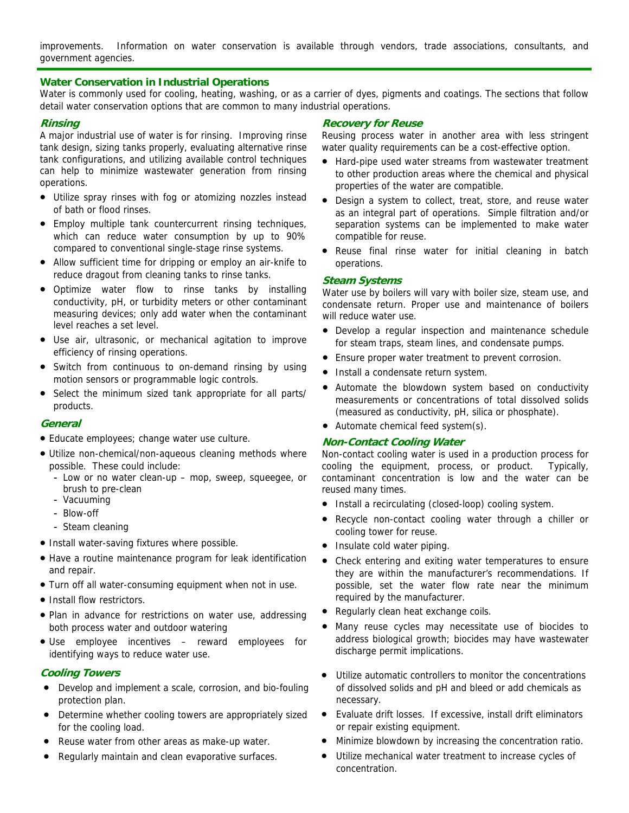improvements. Information on water conservation is available through vendors, trade associations, consultants, and government agencies.

## **Water Conservation in Industrial Operations**

Water is commonly used for cooling, heating, washing, or as a carrier of dyes, pigments and coatings. The sections that follow detail water conservation options that are common to many industrial operations.

## **Rinsing**

A major industrial use of water is for rinsing. Improving rinse tank design, sizing tanks properly, evaluating alternative rinse tank configurations, and utilizing available control techniques can help to minimize wastewater generation from rinsing operations.

- Utilize spray rinses with fog or atomizing nozzles instead of bath or flood rinses.
- Employ multiple tank countercurrent rinsing techniques, which can reduce water consumption by up to 90% compared to conventional single-stage rinse systems.
- Allow sufficient time for dripping or employ an air-knife to reduce dragout from cleaning tanks to rinse tanks.
- Optimize water flow to rinse tanks by installing conductivity, pH, or turbidity meters or other contaminant measuring devices; only add water when the contaminant level reaches a set level.
- Use air, ultrasonic, or mechanical agitation to improve efficiency of rinsing operations.
- Switch from continuous to on-demand rinsing by using motion sensors or programmable logic controls.
- Select the minimum sized tank appropriate for all parts/ products.

#### **General**

- Educate employees; change water use culture.
- Utilize non-chemical/non-aqueous cleaning methods where possible. These could include:
	- Low or no water clean-up mop, sweep, squeegee, or brush to pre-clean
	- Vacuuming
	- Blow-off
	- Steam cleaning
- Install water-saving fixtures where possible.
- Have a routine maintenance program for leak identification and repair.
- Turn off all water-consuming equipment when not in use.
- Install flow restrictors.
- Plan in advance for restrictions on water use, addressing both process water and outdoor watering
- Use employee incentives reward employees for identifying ways to reduce water use.

## **Cooling Towers**

- Develop and implement a scale, corrosion, and bio-fouling protection plan.
- Determine whether cooling towers are appropriately sized for the cooling load.
- Reuse water from other areas as make-up water.
- Regularly maintain and clean evaporative surfaces.

#### **Recovery for Reuse**

Reusing process water in another area with less stringent water quality requirements can be a cost-effective option.

- Hard-pipe used water streams from wastewater treatment to other production areas where the chemical and physical properties of the water are compatible.
- Design a system to collect, treat, store, and reuse water as an integral part of operations. Simple filtration and/or separation systems can be implemented to make water compatible for reuse.
- Reuse final rinse water for initial cleaning in batch operations.

## **Steam Systems**

Water use by boilers will vary with boiler size, steam use, and condensate return. Proper use and maintenance of boilers will reduce water use.

- Develop a regular inspection and maintenance schedule for steam traps, steam lines, and condensate pumps.
- Ensure proper water treatment to prevent corrosion.
- Install a condensate return system.
- Automate the blowdown system based on conductivity measurements or concentrations of total dissolved solids (measured as conductivity, pH, silica or phosphate).
- Automate chemical feed system(s).

#### **Non-Contact Cooling Water**

Non-contact cooling water is used in a production process for cooling the equipment, process, or product. Typically, contaminant concentration is low and the water can be reused many times.

- Install a recirculating (closed-loop) cooling system.
- Recycle non-contact cooling water through a chiller or cooling tower for reuse.
- Insulate cold water piping.
- Check entering and exiting water temperatures to ensure they are within the manufacturer's recommendations. If possible, set the water flow rate near the minimum required by the manufacturer.
- Regularly clean heat exchange coils.
- Many reuse cycles may necessitate use of biocides to address biological growth; biocides may have wastewater discharge permit implications.
- Utilize automatic controllers to monitor the concentrations of dissolved solids and pH and bleed or add chemicals as necessary.
- Evaluate drift losses. If excessive, install drift eliminators or repair existing equipment.
- Minimize blowdown by increasing the concentration ratio.
- Utilize mechanical water treatment to increase cycles of concentration.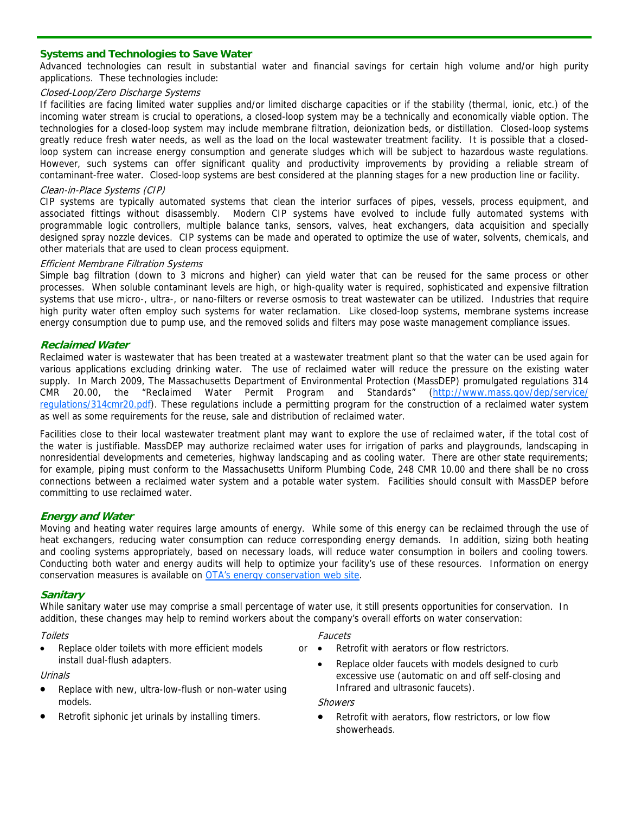## **Systems and Technologies to Save Water**

Advanced technologies can result in substantial water and financial savings for certain high volume and/or high purity applications. These technologies include:

## Closed-Loop/Zero Discharge Systems

If facilities are facing limited water supplies and/or limited discharge capacities or if the stability (thermal, ionic, etc.) of the incoming water stream is crucial to operations, a closed-loop system may be a technically and economically viable option. The technologies for a closed-loop system may include membrane filtration, deionization beds, or distillation. Closed-loop systems greatly reduce fresh water needs, as well as the load on the local wastewater treatment facility. It is possible that a closedloop system can increase energy consumption and generate sludges which will be subject to hazardous waste regulations. However, such systems can offer significant quality and productivity improvements by providing a reliable stream of contaminant-free water. Closed-loop systems are best considered at the planning stages for a new production line or facility.

## Clean-in-Place Systems (CIP)

CIP systems are typically automated systems that clean the interior surfaces of pipes, vessels, process equipment, and associated fittings without disassembly. Modern CIP systems have evolved to include fully automated systems with programmable logic controllers, multiple balance tanks, sensors, valves, heat exchangers, data acquisition and specially designed spray nozzle devices. CIP systems can be made and operated to optimize the use of water, solvents, chemicals, and other materials that are used to clean process equipment.

#### Efficient Membrane Filtration Systems

Simple bag filtration (down to 3 microns and higher) can yield water that can be reused for the same process or other processes. When soluble contaminant levels are high, or high-quality water is required, sophisticated and expensive filtration systems that use micro-, ultra-, or nano-filters or reverse osmosis to treat wastewater can be utilized. Industries that require high purity water often employ such systems for water reclamation. Like closed-loop systems, membrane systems increase energy consumption due to pump use, and the removed solids and filters may pose waste management compliance issues.

## **Reclaimed Water**

Reclaimed water is wastewater that has been treated at a wastewater treatment plant so that the water can be used again for various applications excluding drinking water. The use of reclaimed water will reduce the pressure on the existing water supply. In March 2009, The Massachusetts Department of Environmental Protection (MassDEP) promulgated regulations 314 CMR 20.00, the "Reclaimed Water Permit Program and Standards" (http://www.mass.gov/dep/service/ regulations/314cmr20.pdf). These regulations include a permitting program for the construction of a reclaimed water system as well as some requirements for the reuse, sale and distribution of reclaimed water.

Facilities close to their local wastewater treatment plant may want to explore the use of reclaimed water, if the total cost of the water is justifiable. MassDEP may authorize reclaimed water uses for irrigation of parks and playgrounds, landscaping in nonresidential developments and cemeteries, highway landscaping and as cooling water. There are other state requirements; for example, piping must conform to the Massachusetts Uniform Plumbing Code, 248 CMR 10.00 and there shall be no cross connections between a reclaimed water system and a potable water system. Facilities should consult with MassDEP before committing to use reclaimed water.

## **Energy and Water**

Moving and heating water requires large amounts of energy. While some of this energy can be reclaimed through the use of heat exchangers, reducing water consumption can reduce corresponding energy demands. In addition, sizing both heating and cooling systems appropriately, based on necessary loads, will reduce water consumption in boilers and cooling towers. Conducting both water and energy audits will help to optimize your facility's use of these resources. Information on energy conservation measures is available on **OTA's energy conservation web site**.

## **Sanitary**

While sanitary water use may comprise a small percentage of water use, it still presents opportunities for conservation. In addition, these changes may help to remind workers about the company's overall efforts on water conservation:

#### **Toilets**

Replace older toilets with more efficient models or  $\bullet$ install dual-flush adapters.

#### Urinals

- Replace with new, ultra-low-flush or non-water using models.
- Retrofit siphonic jet urinals by installing timers.

#### Faucets

- Retrofit with aerators or flow restrictors.
- Replace older faucets with models designed to curb excessive use (automatic on and off self-closing and Infrared and ultrasonic faucets).

#### **Showers**

Retrofit with aerators, flow restrictors, or low flow showerheads.